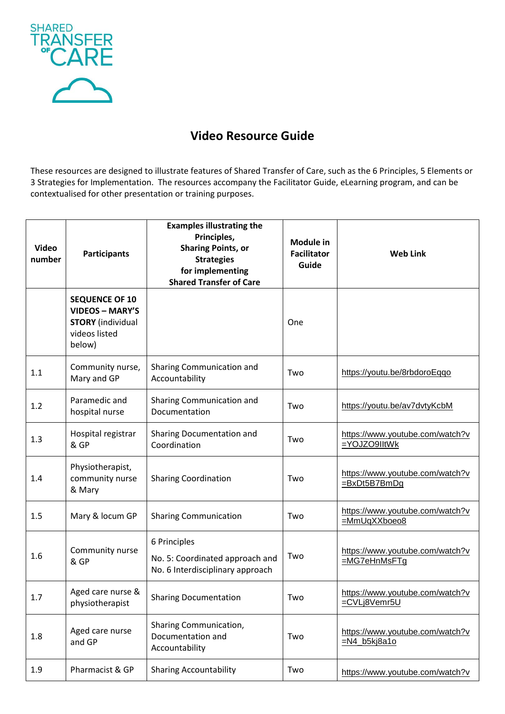

## **Video Resource Guide**

These resources are designed to illustrate features of Shared Transfer of Care, such as the 6 Principles, 5 Elements or 3 Strategies for Implementation. The resources accompany the Facilitator Guide, eLearning program, and can be contextualised for other presentation or training purposes.

| <b>Video</b><br>number | <b>Participants</b>                                                                                    | <b>Examples illustrating the</b><br>Principles,<br><b>Sharing Points, or</b><br><b>Strategies</b><br>for implementing<br><b>Shared Transfer of Care</b> | <b>Module in</b><br><b>Facilitator</b><br>Guide | <b>Web Link</b>                                    |
|------------------------|--------------------------------------------------------------------------------------------------------|---------------------------------------------------------------------------------------------------------------------------------------------------------|-------------------------------------------------|----------------------------------------------------|
|                        | <b>SEQUENCE OF 10</b><br><b>VIDEOS - MARY'S</b><br><b>STORY</b> (individual<br>videos listed<br>below) |                                                                                                                                                         | One                                             |                                                    |
| 1.1                    | Community nurse,<br>Mary and GP                                                                        | Sharing Communication and<br>Accountability                                                                                                             | Two                                             | https://youtu.be/8rbdoroEqqo                       |
| 1.2                    | Paramedic and<br>hospital nurse                                                                        | Sharing Communication and<br>Documentation                                                                                                              | Two                                             | https://youtu.be/av7dvtyKcbM                       |
| 1.3                    | Hospital registrar<br>& GP                                                                             | Sharing Documentation and<br>Coordination                                                                                                               | Two                                             | https://www.youtube.com/watch?v<br>=YOJZO9IItWk    |
| 1.4                    | Physiotherapist,<br>community nurse<br>& Mary                                                          | <b>Sharing Coordination</b>                                                                                                                             | Two                                             | https://www.youtube.com/watch?v<br>=BxDt5B7BmDg    |
| 1.5                    | Mary & locum GP                                                                                        | <b>Sharing Communication</b>                                                                                                                            | Two                                             | https://www.youtube.com/watch?v<br>=MmUqXXboeo8    |
| 1.6                    | Community nurse<br>& GP                                                                                | 6 Principles<br>No. 5: Coordinated approach and<br>No. 6 Interdisciplinary approach                                                                     | Two                                             | https://www.youtube.com/watch?v<br>=MG7eHnMsFTg    |
| 1.7                    | Aged care nurse &<br>physiotherapist                                                                   | <b>Sharing Documentation</b>                                                                                                                            | Two                                             | https://www.youtube.com/watch?v<br>=CVLj8Vemr5U    |
| 1.8                    | Aged care nurse<br>and GP                                                                              | Sharing Communication,<br>Documentation and<br>Accountability                                                                                           | Two                                             | https://www.youtube.com/watch?v<br>$=N4_b5k$ j8a1o |
| 1.9                    | Pharmacist & GP                                                                                        | <b>Sharing Accountability</b>                                                                                                                           | Two                                             | https://www.youtube.com/watch?v                    |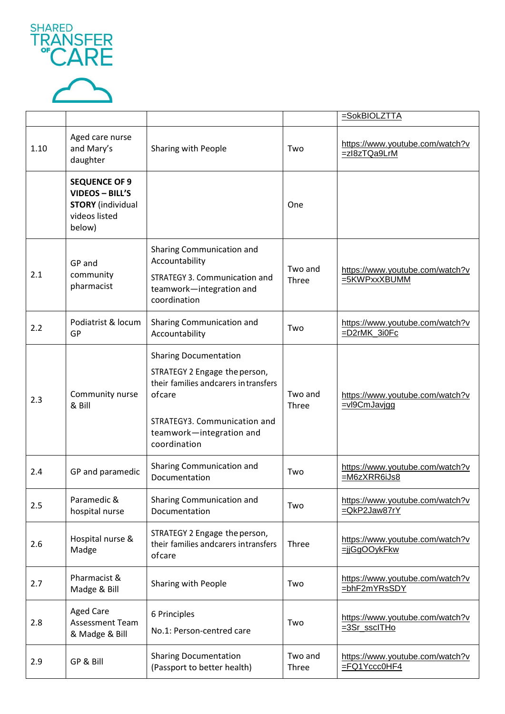



|      |                                                                                                       |                                                                                                                                                                                               |                  | =SokBIOLZTTA                                       |
|------|-------------------------------------------------------------------------------------------------------|-----------------------------------------------------------------------------------------------------------------------------------------------------------------------------------------------|------------------|----------------------------------------------------|
| 1.10 | Aged care nurse<br>and Mary's<br>daughter                                                             | Sharing with People                                                                                                                                                                           | Two              | https://www.youtube.com/watch?v<br>=zl8zTQa9LrM    |
|      | <b>SEQUENCE OF 9</b><br><b>VIDEOS - BILL'S</b><br><b>STORY</b> (individual<br>videos listed<br>below) |                                                                                                                                                                                               | One              |                                                    |
| 2.1  | GP and<br>community<br>pharmacist                                                                     | Sharing Communication and<br>Accountability<br>STRATEGY 3. Communication and<br>teamwork-integration and<br>coordination                                                                      | Two and<br>Three | https://www.youtube.com/watch?v<br>=5KWPxxXBUMM    |
| 2.2  | Podiatrist & locum<br>GP                                                                              | Sharing Communication and<br>Accountability                                                                                                                                                   | Two              | https://www.youtube.com/watch?v<br>=D2rMK_3i0Fc    |
| 2.3  | Community nurse<br>& Bill                                                                             | <b>Sharing Documentation</b><br>STRATEGY 2 Engage the person,<br>their families and carers in transfers<br>ofcare<br>STRATEGY3. Communication and<br>teamwork-integration and<br>coordination | Two and<br>Three | https://www.youtube.com/watch?v<br>=vl9CmJavigg    |
| 2.4  | GP and paramedic                                                                                      | Sharing Communication and<br>Documentation                                                                                                                                                    | Two              | https://www.youtube.com/watch?v<br>=M6zXRR6iJs8    |
| 2.5  | Paramedic &<br>hospital nurse                                                                         | Sharing Communication and<br>Documentation                                                                                                                                                    | Two              | https://www.youtube.com/watch?v<br>=QkP2Jaw87rY    |
| 2.6  | Hospital nurse &<br>Madge                                                                             | STRATEGY 2 Engage the person,<br>their families and carers intransfers<br>ofcare                                                                                                              | Three            | https://www.youtube.com/watch?v<br>=jjGgOOykFkw    |
| 2.7  | Pharmacist &<br>Madge & Bill                                                                          | Sharing with People                                                                                                                                                                           | Two              | https://www.youtube.com/watch?v<br>=bhF2mYRsSDY    |
| 2.8  | <b>Aged Care</b><br>Assessment Team<br>& Madge & Bill                                                 | 6 Principles<br>No.1: Person-centred care                                                                                                                                                     | Two              | https://www.youtube.com/watch?v<br>=3Sr_sscITHo    |
| 2.9  | GP & Bill                                                                                             | <b>Sharing Documentation</b><br>(Passport to better health)                                                                                                                                   | Two and<br>Three | https://www.youtube.com/watch?v<br>$=$ FQ1Yccc0HF4 |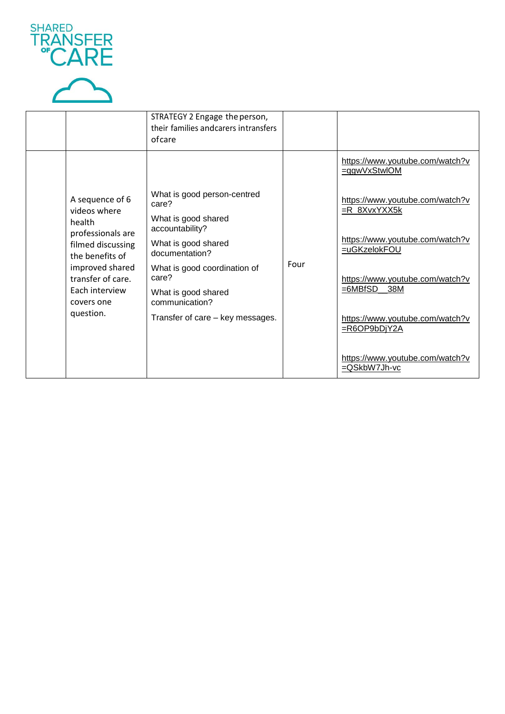



|  |                                                                                                                                                                                             | STRATEGY 2 Engage the person,<br>their families and carers intransfers<br>ofcare |      |                                                     |
|--|---------------------------------------------------------------------------------------------------------------------------------------------------------------------------------------------|----------------------------------------------------------------------------------|------|-----------------------------------------------------|
|  |                                                                                                                                                                                             |                                                                                  |      | https://www.youtube.com/watch?v<br>=qgwVxStwlOM     |
|  | A sequence of 6<br>videos where<br>health<br>professionals are<br>filmed discussing<br>the benefits of<br>improved shared<br>transfer of care.<br>Each interview<br>covers one<br>question. | What is good person-centred<br>care?<br>What is good shared<br>accountability?   | Four | https://www.youtube.com/watch?v<br>$=R_8XvxYXX5k$   |
|  |                                                                                                                                                                                             | What is good shared<br>documentation?                                            |      | https://www.youtube.com/watch?v<br>=uGKzelokFOU     |
|  |                                                                                                                                                                                             | What is good coordination of<br>care?<br>What is good shared<br>communication?   |      | https://www.youtube.com/watch?v<br>$=6MBfSD$<br>38M |
|  |                                                                                                                                                                                             | Transfer of care - key messages.                                                 |      | https://www.youtube.com/watch?v<br>=R6OP9bDjY2A     |
|  |                                                                                                                                                                                             |                                                                                  |      | https://www.youtube.com/watch?v<br>=QSkbW7Jh-vc     |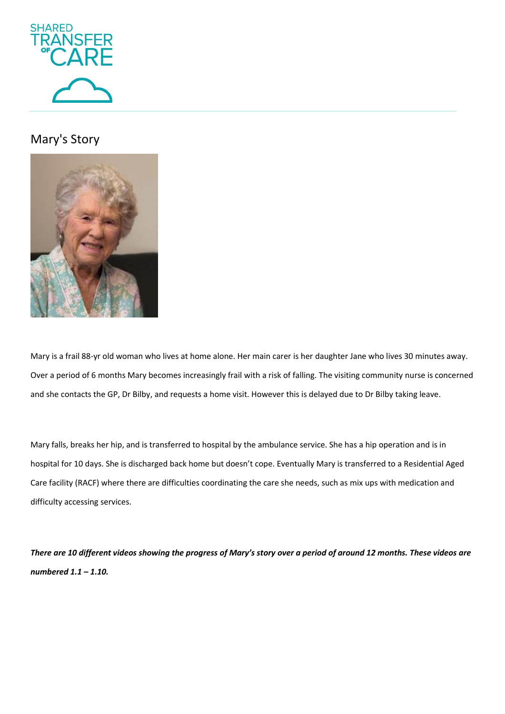

## Mary's Story



Mary is a frail 88-yr old woman who lives at home alone. Her main carer is her daughter Jane who lives 30 minutes away. Over a period of 6 months Mary becomes increasingly frail with a risk of falling. The visiting community nurse is concerned and she contacts the GP, Dr Bilby, and requests a home visit. However this is delayed due to Dr Bilby taking leave.

Mary falls, breaks her hip, and is transferred to hospital by the ambulance service. She has a hip operation and is in hospital for 10 days. She is discharged back home but doesn't cope. Eventually Mary is transferred to a Residential Aged Care facility (RACF) where there are difficulties coordinating the care she needs, such as mix ups with medication and difficulty accessing services.

*There are 10 different videos showing the progress of Mary's story over a period of around 12 months. These videos are numbered 1.1 – 1.10.*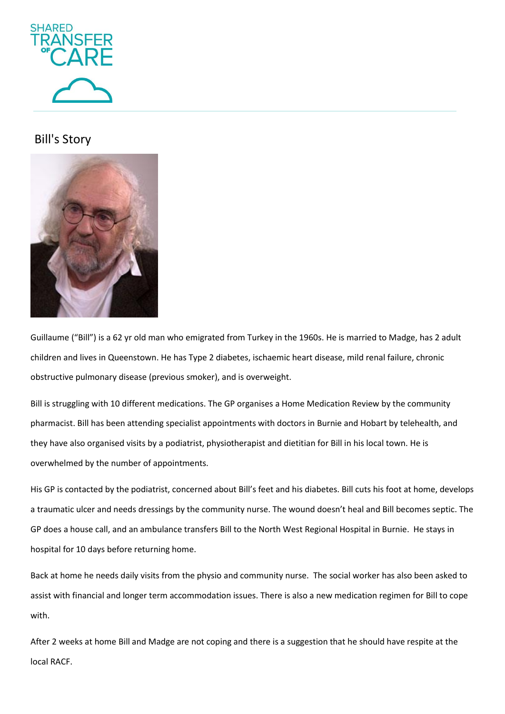

## Bill's Story



Guillaume ("Bill") is a 62 yr old man who emigrated from Turkey in the 1960s. He is married to Madge, has 2 adult children and lives in Queenstown. He has Type 2 diabetes, ischaemic heart disease, mild renal failure, chronic obstructive pulmonary disease (previous smoker), and is overweight.

Bill is struggling with 10 different medications. The GP organises a Home Medication Review by the community pharmacist. Bill has been attending specialist appointments with doctors in Burnie and Hobart by telehealth, and they have also organised visits by a podiatrist, physiotherapist and dietitian for Bill in his local town. He is overwhelmed by the number of appointments.

His GP is contacted by the podiatrist, concerned about Bill's feet and his diabetes. Bill cuts his foot at home, develops a traumatic ulcer and needs dressings by the community nurse. The wound doesn't heal and Bill becomes septic. The GP does a house call, and an ambulance transfers Bill to the North West Regional Hospital in Burnie. He stays in hospital for 10 days before returning home.

Back at home he needs daily visits from the physio and community nurse. The social worker has also been asked to assist with financial and longer term accommodation issues. There is also a new medication regimen for Bill to cope with.

After 2 weeks at home Bill and Madge are not coping and there is a suggestion that he should have respite at the local RACF.